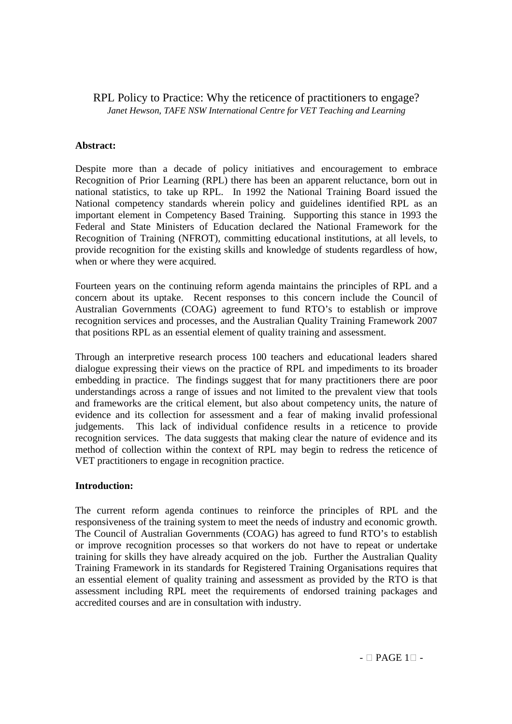# RPL Policy to Practice: Why the reticence of practitioners to engage? *Janet Hewson, TAFE NSW International Centre for VET Teaching and Learning*

# **Abstract:**

Despite more than a decade of policy initiatives and encouragement to embrace Recognition of Prior Learning (RPL) there has been an apparent reluctance, born out in national statistics, to take up RPL. In 1992 the National Training Board issued the National competency standards wherein policy and guidelines identified RPL as an important element in Competency Based Training. Supporting this stance in 1993 the Federal and State Ministers of Education declared the National Framework for the Recognition of Training (NFROT), committing educational institutions, at all levels, to provide recognition for the existing skills and knowledge of students regardless of how, when or where they were acquired.

Fourteen years on the continuing reform agenda maintains the principles of RPL and a concern about its uptake. Recent responses to this concern include the Council of Australian Governments (COAG) agreement to fund RTO's to establish or improve recognition services and processes, and the Australian Quality Training Framework 2007 that positions RPL as an essential element of quality training and assessment.

Through an interpretive research process 100 teachers and educational leaders shared dialogue expressing their views on the practice of RPL and impediments to its broader embedding in practice. The findings suggest that for many practitioners there are poor understandings across a range of issues and not limited to the prevalent view that tools and frameworks are the critical element, but also about competency units, the nature of evidence and its collection for assessment and a fear of making invalid professional judgements. This lack of individual confidence results in a reticence to provide recognition services. The data suggests that making clear the nature of evidence and its method of collection within the context of RPL may begin to redress the reticence of VET practitioners to engage in recognition practice.

# **Introduction:**

The current reform agenda continues to reinforce the principles of RPL and the responsiveness of the training system to meet the needs of industry and economic growth. The Council of Australian Governments (COAG) has agreed to fund RTO's to establish or improve recognition processes so that workers do not have to repeat or undertake training for skills they have already acquired on the job. Further the Australian Quality Training Framework in its standards for Registered Training Organisations requires that an essential element of quality training and assessment as provided by the RTO is that assessment including RPL meet the requirements of endorsed training packages and accredited courses and are in consultation with industry.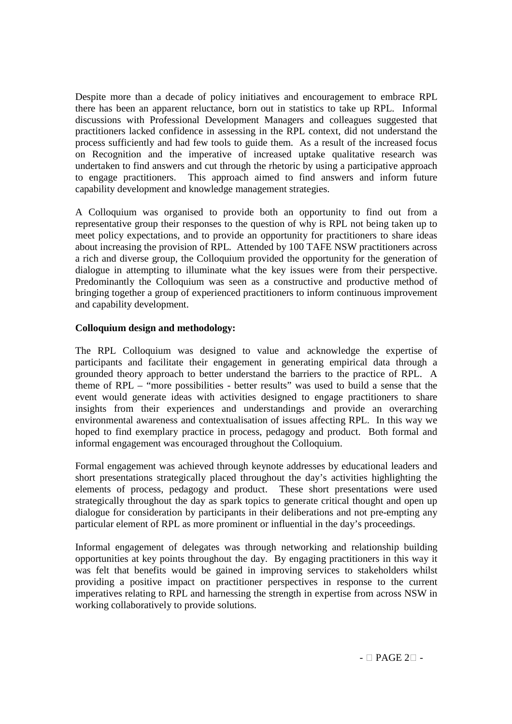Despite more than a decade of policy initiatives and encouragement to embrace RPL there has been an apparent reluctance, born out in statistics to take up RPL. Informal discussions with Professional Development Managers and colleagues suggested that practitioners lacked confidence in assessing in the RPL context, did not understand the process sufficiently and had few tools to guide them. As a result of the increased focus on Recognition and the imperative of increased uptake qualitative research was undertaken to find answers and cut through the rhetoric by using a participative approach to engage practitioners. This approach aimed to find answers and inform future capability development and knowledge management strategies.

A Colloquium was organised to provide both an opportunity to find out from a representative group their responses to the question of why is RPL not being taken up to meet policy expectations, and to provide an opportunity for practitioners to share ideas about increasing the provision of RPL. Attended by 100 TAFE NSW practitioners across a rich and diverse group, the Colloquium provided the opportunity for the generation of dialogue in attempting to illuminate what the key issues were from their perspective. Predominantly the Colloquium was seen as a constructive and productive method of bringing together a group of experienced practitioners to inform continuous improvement and capability development.

# **Colloquium design and methodology:**

The RPL Colloquium was designed to value and acknowledge the expertise of participants and facilitate their engagement in generating empirical data through a grounded theory approach to better understand the barriers to the practice of RPL. A theme of RPL – "more possibilities - better results" was used to build a sense that the event would generate ideas with activities designed to engage practitioners to share insights from their experiences and understandings and provide an overarching environmental awareness and contextualisation of issues affecting RPL. In this way we hoped to find exemplary practice in process, pedagogy and product. Both formal and informal engagement was encouraged throughout the Colloquium.

Formal engagement was achieved through keynote addresses by educational leaders and short presentations strategically placed throughout the day's activities highlighting the elements of process, pedagogy and product. These short presentations were used strategically throughout the day as spark topics to generate critical thought and open up dialogue for consideration by participants in their deliberations and not pre-empting any particular element of RPL as more prominent or influential in the day's proceedings.

Informal engagement of delegates was through networking and relationship building opportunities at key points throughout the day. By engaging practitioners in this way it was felt that benefits would be gained in improving services to stakeholders whilst providing a positive impact on practitioner perspectives in response to the current imperatives relating to RPL and harnessing the strength in expertise from across NSW in working collaboratively to provide solutions.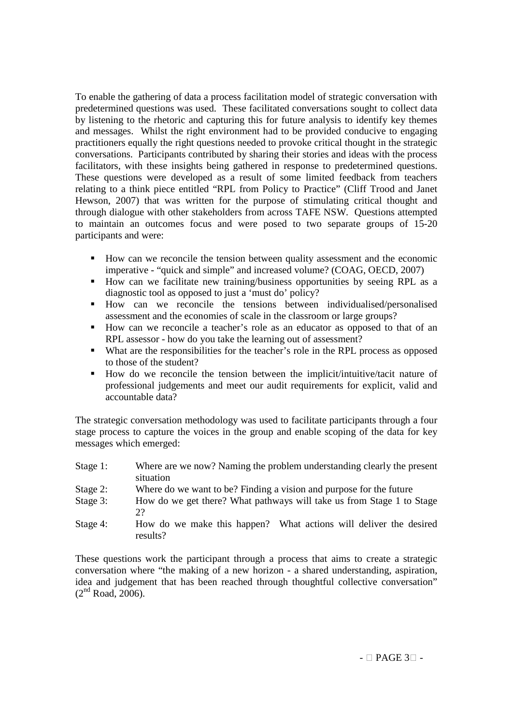To enable the gathering of data a process facilitation model of strategic conversation with predetermined questions was used. These facilitated conversations sought to collect data by listening to the rhetoric and capturing this for future analysis to identify key themes and messages. Whilst the right environment had to be provided conducive to engaging practitioners equally the right questions needed to provoke critical thought in the strategic conversations. Participants contributed by sharing their stories and ideas with the process facilitators, with these insights being gathered in response to predetermined questions. These questions were developed as a result of some limited feedback from teachers relating to a think piece entitled "RPL from Policy to Practice" (Cliff Trood and Janet Hewson, 2007) that was written for the purpose of stimulating critical thought and through dialogue with other stakeholders from across TAFE NSW. Questions attempted to maintain an outcomes focus and were posed to two separate groups of 15-20 participants and were:

- How can we reconcile the tension between quality assessment and the economic imperative - "quick and simple" and increased volume? (COAG, OECD, 2007)
- How can we facilitate new training/business opportunities by seeing RPL as a diagnostic tool as opposed to just a 'must do' policy?
- How can we reconcile the tensions between individualised/personalised assessment and the economies of scale in the classroom or large groups?
- How can we reconcile a teacher's role as an educator as opposed to that of an RPL assessor - how do you take the learning out of assessment?
- What are the responsibilities for the teacher's role in the RPL process as opposed to those of the student?
- How do we reconcile the tension between the implicit/intuitive/tacit nature of professional judgements and meet our audit requirements for explicit, valid and accountable data?

The strategic conversation methodology was used to facilitate participants through a four stage process to capture the voices in the group and enable scoping of the data for key messages which emerged:

| Stage 1:    | Where are we now? Naming the problem understanding clearly the present<br>situation |
|-------------|-------------------------------------------------------------------------------------|
| Stage $2$ : | Where do we want to be? Finding a vision and purpose for the future                 |
| Stage 3:    | How do we get there? What pathways will take us from Stage 1 to Stage<br>22         |
| Stage 4:    | How do we make this happen? What actions will deliver the desired<br>results?       |

These questions work the participant through a process that aims to create a strategic conversation where "the making of a new horizon - a shared understanding, aspiration, idea and judgement that has been reached through thoughtful collective conversation"  $(2<sup>nd</sup> Road, 2006).$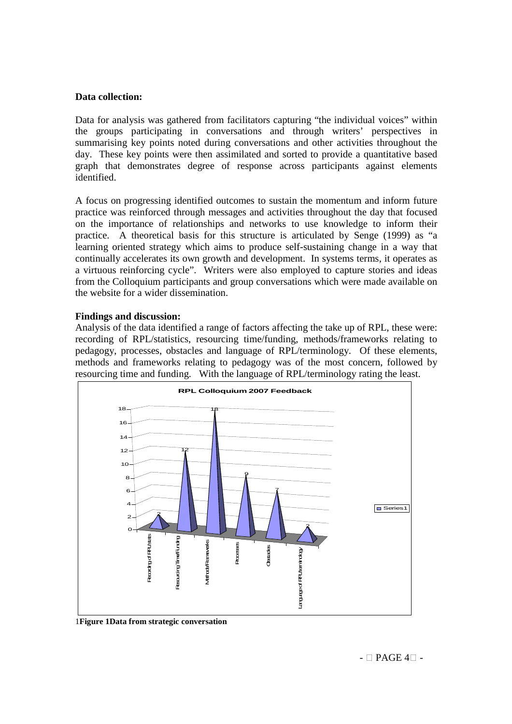### **Data collection:**

Data for analysis was gathered from facilitators capturing "the individual voices" within the groups participating in conversations and through writers' perspectives in summarising key points noted during conversations and other activities throughout the day. These key points were then assimilated and sorted to provide a quantitative based graph that demonstrates degree of response across participants against elements identified.

A focus on progressing identified outcomes to sustain the momentum and inform future practice was reinforced through messages and activities throughout the day that focused on the importance of relationships and networks to use knowledge to inform their practice. A theoretical basis for this structure is articulated by Senge (1999) as "a learning oriented strategy which aims to produce self-sustaining change in a way that continually accelerates its own growth and development. In systems terms, it operates as a virtuous reinforcing cycle". Writers were also employed to capture stories and ideas from the Colloquium participants and group conversations which were made available on the website for a wider dissemination.

#### **Findings and discussion:**

Analysis of the data identified a range of factors affecting the take up of RPL, these were: recording of RPL/statistics, resourcing time/funding, methods/frameworks relating to pedagogy, processes, obstacles and language of RPL/terminology. Of these elements, methods and frameworks relating to pedagogy was of the most concern, followed by resourcing time and funding. With the language of RPL/terminology rating the least.



1**Figure 1Data from strategic conversation**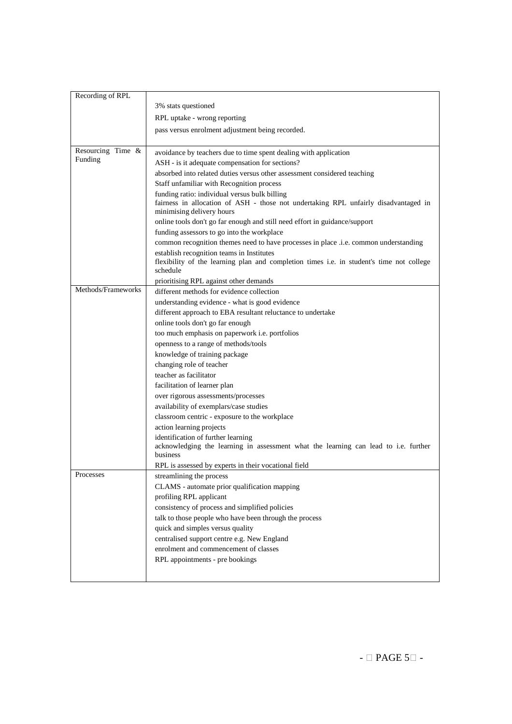| Recording of RPL   |                                                                                                                  |
|--------------------|------------------------------------------------------------------------------------------------------------------|
|                    | 3% stats questioned                                                                                              |
|                    | RPL uptake - wrong reporting                                                                                     |
|                    | pass versus enrolment adjustment being recorded.                                                                 |
|                    |                                                                                                                  |
| Resourcing Time &  | avoidance by teachers due to time spent dealing with application                                                 |
| Funding            | ASH - is it adequate compensation for sections?                                                                  |
|                    | absorbed into related duties versus other assessment considered teaching                                         |
|                    | Staff unfamiliar with Recognition process                                                                        |
|                    | funding ratio: individual versus bulk billing                                                                    |
|                    | fairness in allocation of ASH - those not undertaking RPL unfairly disadvantaged in<br>minimising delivery hours |
|                    | online tools don't go far enough and still need effort in guidance/support                                       |
|                    | funding assessors to go into the workplace                                                                       |
|                    | common recognition themes need to have processes in place .i.e. common understanding                             |
|                    | establish recognition teams in Institutes                                                                        |
|                    | flexibility of the learning plan and completion times i.e. in student's time not college<br>schedule             |
|                    | prioritising RPL against other demands                                                                           |
| Methods/Frameworks | different methods for evidence collection                                                                        |
|                    | understanding evidence - what is good evidence                                                                   |
|                    | different approach to EBA resultant reluctance to undertake                                                      |
|                    | online tools don't go far enough                                                                                 |
|                    | too much emphasis on paperwork i.e. portfolios                                                                   |
|                    | openness to a range of methods/tools                                                                             |
|                    | knowledge of training package                                                                                    |
|                    | changing role of teacher                                                                                         |
|                    | teacher as facilitator                                                                                           |
|                    | facilitation of learner plan                                                                                     |
|                    | over rigorous assessments/processes                                                                              |
|                    | availability of exemplars/case studies                                                                           |
|                    | classroom centric - exposure to the workplace                                                                    |
|                    | action learning projects                                                                                         |
|                    | identification of further learning                                                                               |
|                    | acknowledging the learning in assessment what the learning can lead to i.e. further                              |
|                    | business<br>RPL is assessed by experts in their vocational field                                                 |
| Processes          | streamlining the process                                                                                         |
|                    | CLAMS - automate prior qualification mapping                                                                     |
|                    | profiling RPL applicant                                                                                          |
|                    | consistency of process and simplified policies                                                                   |
|                    | talk to those people who have been through the process                                                           |
|                    | quick and simples versus quality                                                                                 |
|                    | centralised support centre e.g. New England                                                                      |
|                    | enrolment and commencement of classes                                                                            |
|                    | RPL appointments - pre bookings                                                                                  |
|                    |                                                                                                                  |
|                    |                                                                                                                  |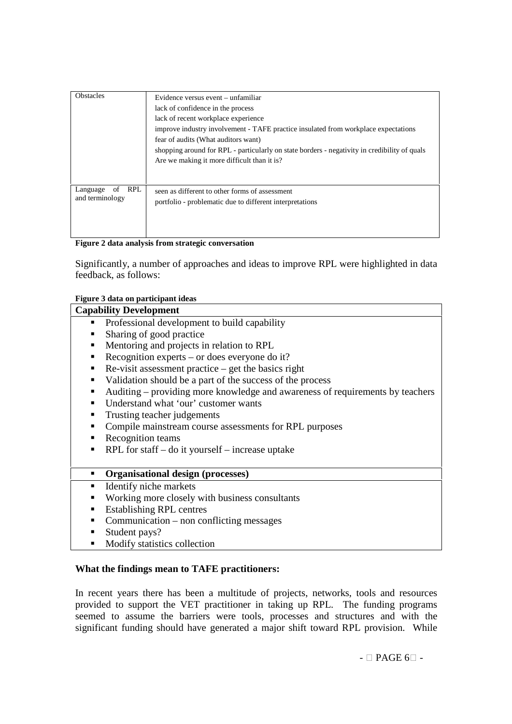| <b>Obstacles</b>                                | Evidence versus event – unfamiliar<br>lack of confidence in the process<br>lack of recent workplace experience<br>improve industry involvement - TAFE practice insulated from workplace expectations<br>fear of audits (What auditors want)<br>shopping around for RPL - particularly on state borders - negativity in credibility of quals<br>Are we making it more difficult than it is? |
|-------------------------------------------------|--------------------------------------------------------------------------------------------------------------------------------------------------------------------------------------------------------------------------------------------------------------------------------------------------------------------------------------------------------------------------------------------|
| <b>RPL</b><br>of<br>Language<br>and terminology | seen as different to other forms of assessment<br>portfolio - problematic due to different interpretations                                                                                                                                                                                                                                                                                 |

**Figure 2 data analysis from strategic conversation**

Significantly, a number of approaches and ideas to improve RPL were highlighted in data feedback, as follows:

#### **Figure 3 data on participant ideas**

| <b>Capability Development</b>                                                      |
|------------------------------------------------------------------------------------|
| Professional development to build capability<br>$\blacksquare$                     |
| Sharing of good practice<br>٠                                                      |
| Mentoring and projects in relation to RPL<br>٠                                     |
| Recognition experts – or does everyone do it?<br>٠                                 |
| $Re-visit assessment practice – get the basics right$<br>٠                         |
| Validation should be a part of the success of the process<br>٠                     |
| Auditing – providing more knowledge and awareness of requirements by teachers<br>٠ |
| Understand what 'our' customer wants<br>٠                                          |
| Trusting teacher judgements                                                        |
| Compile mainstream course assessments for RPL purposes<br>٠                        |
| Recognition teams<br>٠                                                             |
| RPL for staff $-$ do it yourself $-$ increase uptake<br>٠                          |
|                                                                                    |
| Organisational design (processes)<br>$\blacksquare$                                |
| Identify niche markets<br>٠                                                        |
| Working more closely with business consultants<br>٠                                |
| <b>Establishing RPL centres</b><br>٠                                               |
| Communication – non conflicting messages<br>٠                                      |
| Student pays?<br>٠                                                                 |
| Modify statistics collection<br>п                                                  |

# **What the findings mean to TAFE practitioners:**

In recent years there has been a multitude of projects, networks, tools and resources provided to support the VET practitioner in taking up RPL. The funding programs seemed to assume the barriers were tools, processes and structures and with the significant funding should have generated a major shift toward RPL provision. While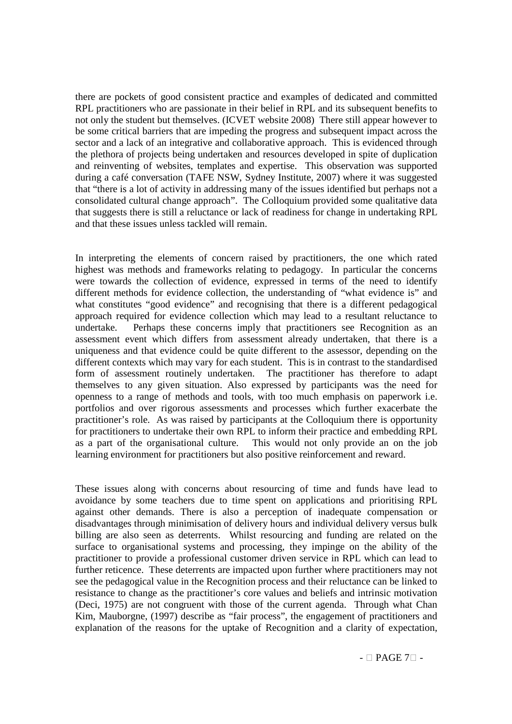there are pockets of good consistent practice and examples of dedicated and committed RPL practitioners who are passionate in their belief in RPL and its subsequent benefits to not only the student but themselves. (ICVET website 2008) There still appear however to be some critical barriers that are impeding the progress and subsequent impact across the sector and a lack of an integrative and collaborative approach. This is evidenced through the plethora of projects being undertaken and resources developed in spite of duplication and reinventing of websites, templates and expertise. This observation was supported during a café conversation (TAFE NSW, Sydney Institute, 2007) where it was suggested that "there is a lot of activity in addressing many of the issues identified but perhaps not a consolidated cultural change approach". The Colloquium provided some qualitative data that suggests there is still a reluctance or lack of readiness for change in undertaking RPL and that these issues unless tackled will remain.

In interpreting the elements of concern raised by practitioners, the one which rated highest was methods and frameworks relating to pedagogy. In particular the concerns were towards the collection of evidence, expressed in terms of the need to identify different methods for evidence collection, the understanding of "what evidence is" and what constitutes "good evidence" and recognising that there is a different pedagogical approach required for evidence collection which may lead to a resultant reluctance to undertake. Perhaps these concerns imply that practitioners see Recognition as an assessment event which differs from assessment already undertaken, that there is a uniqueness and that evidence could be quite different to the assessor, depending on the different contexts which may vary for each student. This is in contrast to the standardised form of assessment routinely undertaken. The practitioner has therefore to adapt themselves to any given situation. Also expressed by participants was the need for openness to a range of methods and tools, with too much emphasis on paperwork i.e. portfolios and over rigorous assessments and processes which further exacerbate the practitioner's role. As was raised by participants at the Colloquium there is opportunity for practitioners to undertake their own RPL to inform their practice and embedding RPL as a part of the organisational culture. This would not only provide an on the job learning environment for practitioners but also positive reinforcement and reward.

These issues along with concerns about resourcing of time and funds have lead to avoidance by some teachers due to time spent on applications and prioritising RPL against other demands. There is also a perception of inadequate compensation or disadvantages through minimisation of delivery hours and individual delivery versus bulk billing are also seen as deterrents. Whilst resourcing and funding are related on the surface to organisational systems and processing, they impinge on the ability of the practitioner to provide a professional customer driven service in RPL which can lead to further reticence. These deterrents are impacted upon further where practitioners may not see the pedagogical value in the Recognition process and their reluctance can be linked to resistance to change as the practitioner's core values and beliefs and intrinsic motivation (Deci, 1975) are not congruent with those of the current agenda. Through what Chan Kim, Mauborgne, (1997) describe as "fair process", the engagement of practitioners and explanation of the reasons for the uptake of Recognition and a clarity of expectation,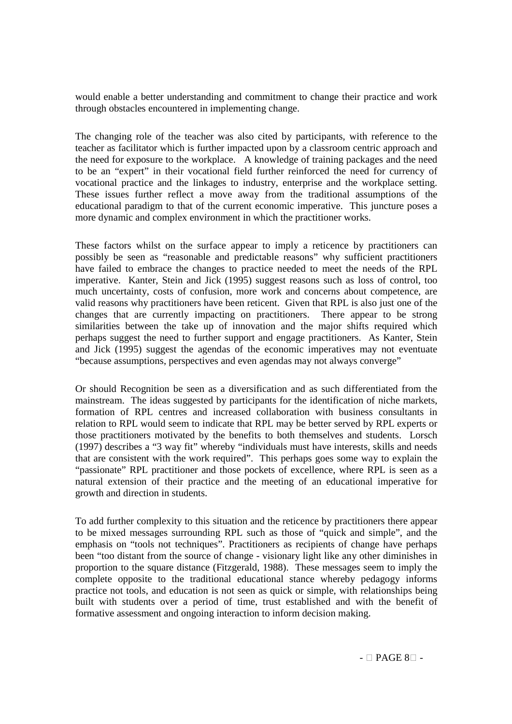would enable a better understanding and commitment to change their practice and work through obstacles encountered in implementing change.

The changing role of the teacher was also cited by participants, with reference to the teacher as facilitator which is further impacted upon by a classroom centric approach and the need for exposure to the workplace. A knowledge of training packages and the need to be an "expert" in their vocational field further reinforced the need for currency of vocational practice and the linkages to industry, enterprise and the workplace setting. These issues further reflect a move away from the traditional assumptions of the educational paradigm to that of the current economic imperative. This juncture poses a more dynamic and complex environment in which the practitioner works.

These factors whilst on the surface appear to imply a reticence by practitioners can possibly be seen as "reasonable and predictable reasons" why sufficient practitioners have failed to embrace the changes to practice needed to meet the needs of the RPL imperative. Kanter, Stein and Jick (1995) suggest reasons such as loss of control, too much uncertainty, costs of confusion, more work and concerns about competence, are valid reasons why practitioners have been reticent. Given that RPL is also just one of the changes that are currently impacting on practitioners. There appear to be strong similarities between the take up of innovation and the major shifts required which perhaps suggest the need to further support and engage practitioners. As Kanter, Stein and Jick (1995) suggest the agendas of the economic imperatives may not eventuate "because assumptions, perspectives and even agendas may not always converge"

Or should Recognition be seen as a diversification and as such differentiated from the mainstream. The ideas suggested by participants for the identification of niche markets, formation of RPL centres and increased collaboration with business consultants in relation to RPL would seem to indicate that RPL may be better served by RPL experts or those practitioners motivated by the benefits to both themselves and students. Lorsch (1997) describes a "3 way fit" whereby "individuals must have interests, skills and needs that are consistent with the work required". This perhaps goes some way to explain the "passionate" RPL practitioner and those pockets of excellence, where RPL is seen as a natural extension of their practice and the meeting of an educational imperative for growth and direction in students.

To add further complexity to this situation and the reticence by practitioners there appear to be mixed messages surrounding RPL such as those of "quick and simple", and the emphasis on "tools not techniques". Practitioners as recipients of change have perhaps been "too distant from the source of change - visionary light like any other diminishes in proportion to the square distance (Fitzgerald, 1988). These messages seem to imply the complete opposite to the traditional educational stance whereby pedagogy informs practice not tools, and education is not seen as quick or simple, with relationships being built with students over a period of time, trust established and with the benefit of formative assessment and ongoing interaction to inform decision making.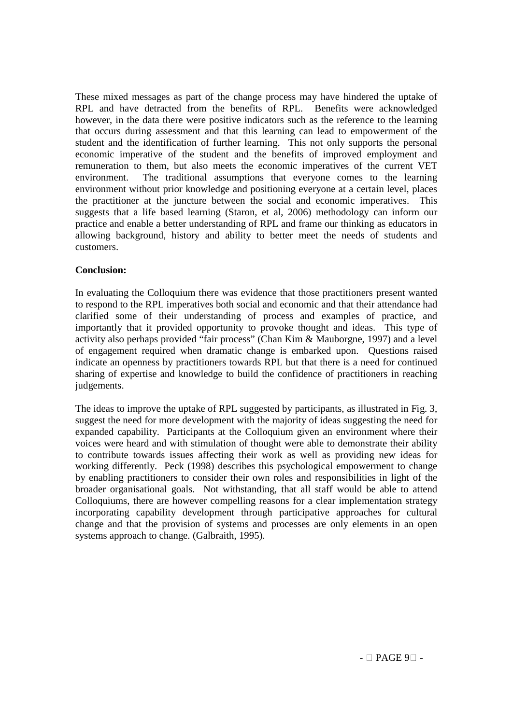These mixed messages as part of the change process may have hindered the uptake of RPL and have detracted from the benefits of RPL. Benefits were acknowledged however, in the data there were positive indicators such as the reference to the learning that occurs during assessment and that this learning can lead to empowerment of the student and the identification of further learning. This not only supports the personal economic imperative of the student and the benefits of improved employment and remuneration to them, but also meets the economic imperatives of the current VET environment. The traditional assumptions that everyone comes to the learning environment without prior knowledge and positioning everyone at a certain level, places the practitioner at the juncture between the social and economic imperatives. This suggests that a life based learning (Staron, et al, 2006) methodology can inform our practice and enable a better understanding of RPL and frame our thinking as educators in allowing background, history and ability to better meet the needs of students and customers.

# **Conclusion:**

In evaluating the Colloquium there was evidence that those practitioners present wanted to respond to the RPL imperatives both social and economic and that their attendance had clarified some of their understanding of process and examples of practice, and importantly that it provided opportunity to provoke thought and ideas. This type of activity also perhaps provided "fair process" (Chan Kim & Mauborgne, 1997) and a level of engagement required when dramatic change is embarked upon. Questions raised indicate an openness by practitioners towards RPL but that there is a need for continued sharing of expertise and knowledge to build the confidence of practitioners in reaching judgements.

The ideas to improve the uptake of RPL suggested by participants, as illustrated in Fig. 3, suggest the need for more development with the majority of ideas suggesting the need for expanded capability. Participants at the Colloquium given an environment where their voices were heard and with stimulation of thought were able to demonstrate their ability to contribute towards issues affecting their work as well as providing new ideas for working differently. Peck (1998) describes this psychological empowerment to change by enabling practitioners to consider their own roles and responsibilities in light of the broader organisational goals. Not withstanding, that all staff would be able to attend Colloquiums, there are however compelling reasons for a clear implementation strategy incorporating capability development through participative approaches for cultural change and that the provision of systems and processes are only elements in an open systems approach to change. (Galbraith, 1995).